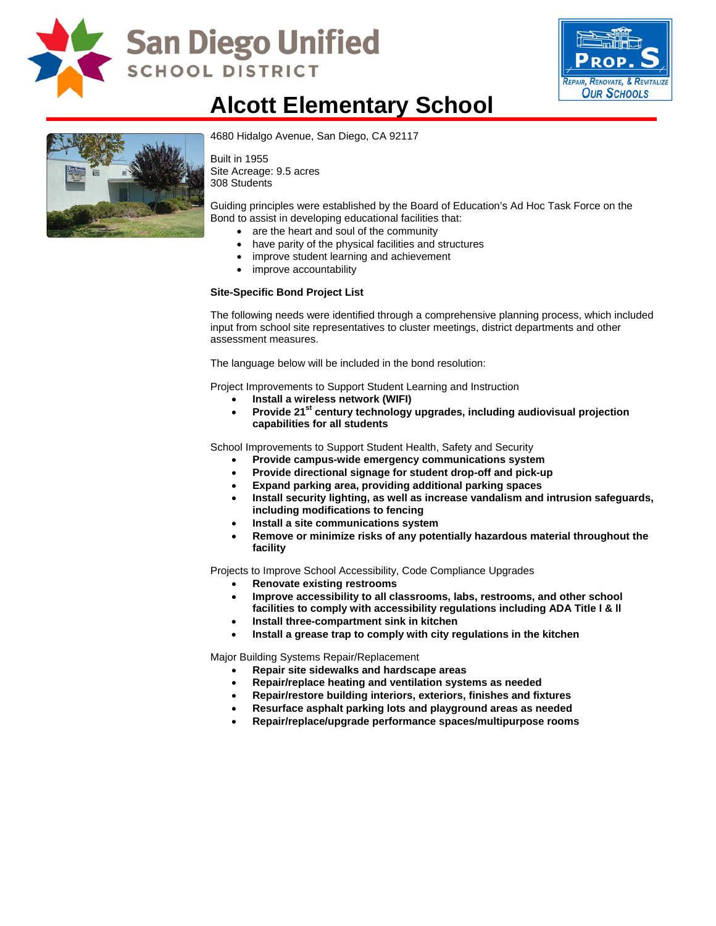

# San Diego Unified **SCHOOL DISTRICT**



### **Alcott Elementary School**



4680 Hidalgo Avenue, San Diego, CA 92117

Built in 1955 Site Acreage: 9.5 acres 308 Students

Guiding principles were established by the Board of Education's Ad Hoc Task Force on the Bond to assist in developing educational facilities that:

- are the heart and soul of the community
- have parity of the physical facilities and structures
- improve student learning and achievement
- improve accountability

#### **Site-Specific Bond Project List**

The following needs were identified through a comprehensive planning process, which included input from school site representatives to cluster meetings, district departments and other assessment measures.

The language below will be included in the bond resolution:

Project Improvements to Support Student Learning and Instruction

- **Install a wireless network (WIFI)**
- Provide 21<sup>st</sup> century technology upgrades, including audiovisual projection **capabilities for all students**

School Improvements to Support Student Health, Safety and Security

- **Provide campus-wide emergency communications system**
- **Provide directional signage for student drop-off and pick-up**
- **Expand parking area, providing additional parking spaces**
- **Install security lighting, as well as increase vandalism and intrusion safeguards, including modifications to fencing**
- **Install a site communications system**
- **Remove or minimize risks of any potentially hazardous material throughout the facility**

Projects to Improve School Accessibility, Code Compliance Upgrades

- **Renovate existing restrooms**
- **Improve accessibility to all classrooms, labs, restrooms, and other school facilities to comply with accessibility regulations including ADA Title l & ll**
- **Install three-compartment sink in kitchen**
- **Install a grease trap to comply with city regulations in the kitchen**

Major Building Systems Repair/Replacement

- **Repair site sidewalks and hardscape areas**
- **Repair/replace heating and ventilation systems as needed**
- **Repair/restore building interiors, exteriors, finishes and fixtures**
- **Resurface asphalt parking lots and playground areas as needed**
- **Repair/replace/upgrade performance spaces/multipurpose rooms**